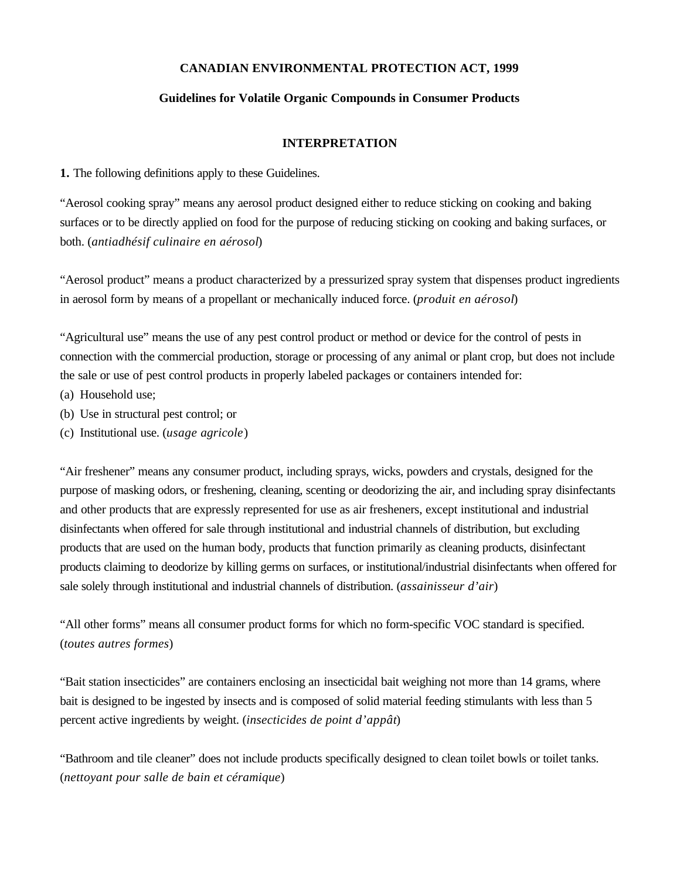### **CANADIAN ENVIRONMENTAL PROTECTION ACT, 1999**

### **Guidelines for Volatile Organic Compounds in Consumer Products**

### **INTERPRETATION**

**1.** The following definitions apply to these Guidelines.

"Aerosol cooking spray" means any aerosol product designed either to reduce sticking on cooking and baking surfaces or to be directly applied on food for the purpose of reducing sticking on cooking and baking surfaces, or both. (*antiadhésif culinaire en aérosol*)

"Aerosol product" means a product characterized by a pressurized spray system that dispenses product ingredients in aerosol form by means of a propellant or mechanically induced force. (*produit en aérosol*)

"Agricultural use" means the use of any pest control product or method or device for the control of pests in connection with the commercial production, storage or processing of any animal or plant crop, but does not include the sale or use of pest control products in properly labeled packages or containers intended for:

- (a) Household use;
- (b) Use in structural pest control; or
- (c) Institutional use. (*usage agricole*)

"Air freshener" means any consumer product, including sprays, wicks, powders and crystals, designed for the purpose of masking odors, or freshening, cleaning, scenting or deodorizing the air, and including spray disinfectants and other products that are expressly represented for use as air fresheners, except institutional and industrial disinfectants when offered for sale through institutional and industrial channels of distribution, but excluding products that are used on the human body, products that function primarily as cleaning products, disinfectant products claiming to deodorize by killing germs on surfaces, or institutional/industrial disinfectants when offered for sale solely through institutional and industrial channels of distribution. (*assainisseur d'air*)

"All other forms" means all consumer product forms for which no form-specific VOC standard is specified. (*toutes autres formes*)

"Bait station insecticides" are containers enclosing an insecticidal bait weighing not more than 14 grams, where bait is designed to be ingested by insects and is composed of solid material feeding stimulants with less than 5 percent active ingredients by weight. (*insecticides de point d'appât*)

"Bathroom and tile cleaner" does not include products specifically designed to clean toilet bowls or toilet tanks. (*nettoyant pour salle de bain et céramique*)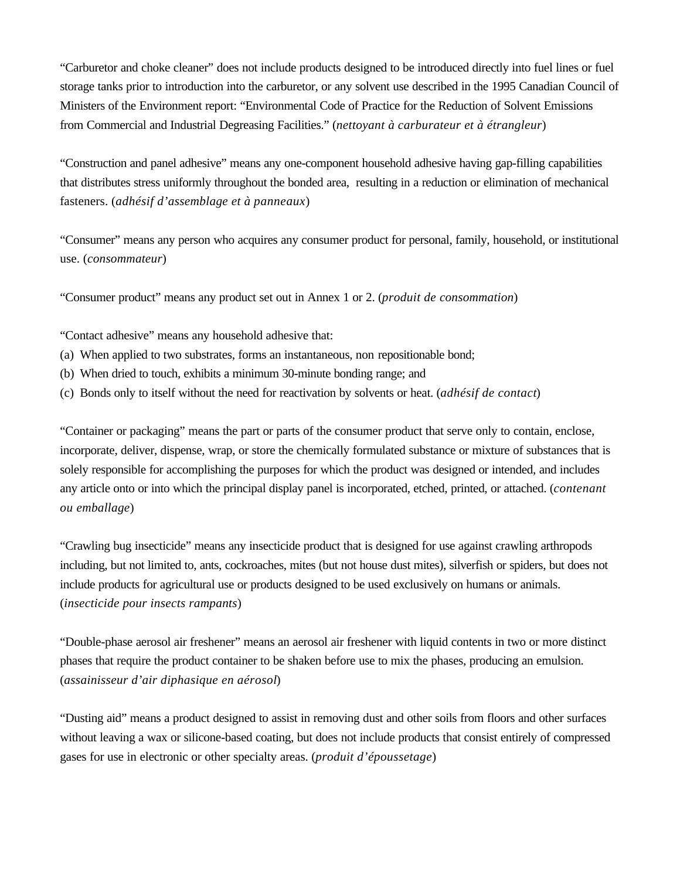"Carburetor and choke cleaner" does not include products designed to be introduced directly into fuel lines or fuel storage tanks prior to introduction into the carburetor, or any solvent use described in the 1995 Canadian Council of Ministers of the Environment report: "Environmental Code of Practice for the Reduction of Solvent Emissions from Commercial and Industrial Degreasing Facilities." (*nettoyant à carburateur et à étrangleur*)

"Construction and panel adhesive" means any one-component household adhesive having gap-filling capabilities that distributes stress uniformly throughout the bonded area, resulting in a reduction or elimination of mechanical fasteners. (*adhésif d'assemblage et à panneaux*)

"Consumer" means any person who acquires any consumer product for personal, family, household, or institutional use. (*consommateur*)

"Consumer product" means any product set out in Annex 1 or 2. (*produit de consommation*)

"Contact adhesive" means any household adhesive that:

- (a) When applied to two substrates, forms an instantaneous, non repositionable bond;
- (b) When dried to touch, exhibits a minimum 30-minute bonding range; and
- (c) Bonds only to itself without the need for reactivation by solvents or heat. (*adhésif de contact*)

"Container or packaging" means the part or parts of the consumer product that serve only to contain, enclose, incorporate, deliver, dispense, wrap, or store the chemically formulated substance or mixture of substances that is solely responsible for accomplishing the purposes for which the product was designed or intended, and includes any article onto or into which the principal display panel is incorporated, etched, printed, or attached. (*contenant ou emballage*)

"Crawling bug insecticide" means any insecticide product that is designed for use against crawling arthropods including, but not limited to, ants, cockroaches, mites (but not house dust mites), silverfish or spiders, but does not include products for agricultural use or products designed to be used exclusively on humans or animals. (*insecticide pour insects rampants*)

"Double-phase aerosol air freshener" means an aerosol air freshener with liquid contents in two or more distinct phases that require the product container to be shaken before use to mix the phases, producing an emulsion. (*assainisseur d'air diphasique en aérosol*)

"Dusting aid" means a product designed to assist in removing dust and other soils from floors and other surfaces without leaving a wax or silicone-based coating, but does not include products that consist entirely of compressed gases for use in electronic or other specialty areas. (*produit d'époussetage*)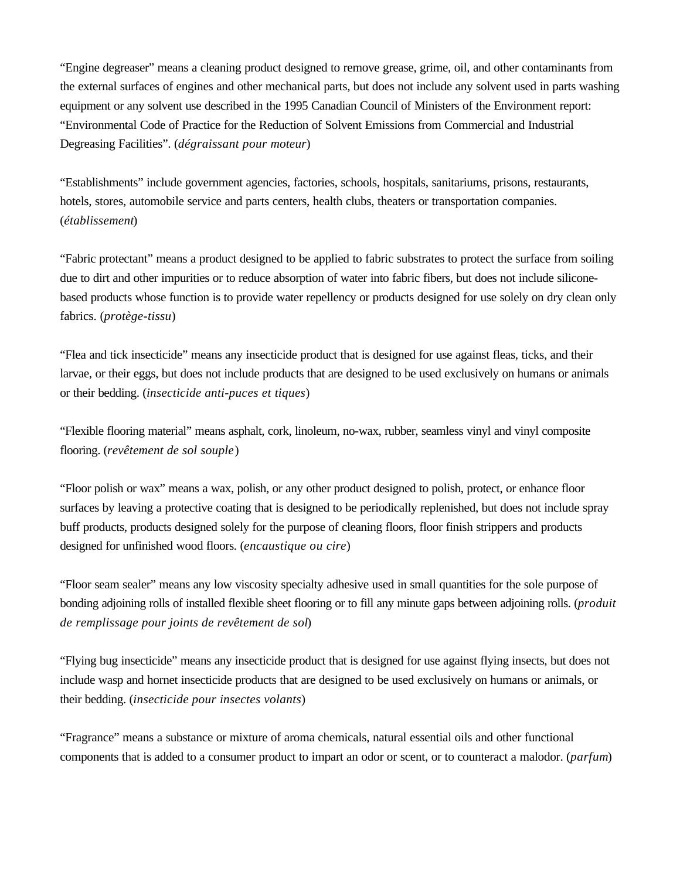"Engine degreaser" means a cleaning product designed to remove grease, grime, oil, and other contaminants from the external surfaces of engines and other mechanical parts, but does not include any solvent used in parts washing equipment or any solvent use described in the 1995 Canadian Council of Ministers of the Environment report: "Environmental Code of Practice for the Reduction of Solvent Emissions from Commercial and Industrial Degreasing Facilities". (*dégraissant pour moteur*)

"Establishments" include government agencies, factories, schools, hospitals, sanitariums, prisons, restaurants, hotels, stores, automobile service and parts centers, health clubs, theaters or transportation companies. (*établissement*)

"Fabric protectant" means a product designed to be applied to fabric substrates to protect the surface from soiling due to dirt and other impurities or to reduce absorption of water into fabric fibers, but does not include siliconebased products whose function is to provide water repellency or products designed for use solely on dry clean only fabrics. (*protège-tissu*)

"Flea and tick insecticide" means any insecticide product that is designed for use against fleas, ticks, and their larvae, or their eggs, but does not include products that are designed to be used exclusively on humans or animals or their bedding. (*insecticide anti-puces et tiques*)

"Flexible flooring material" means asphalt, cork, linoleum, no-wax, rubber, seamless vinyl and vinyl composite flooring. (*revêtement de sol souple*)

"Floor polish or wax" means a wax, polish, or any other product designed to polish, protect, or enhance floor surfaces by leaving a protective coating that is designed to be periodically replenished, but does not include spray buff products, products designed solely for the purpose of cleaning floors, floor finish strippers and products designed for unfinished wood floors. (*encaustique ou cire*)

"Floor seam sealer" means any low viscosity specialty adhesive used in small quantities for the sole purpose of bonding adjoining rolls of installed flexible sheet flooring or to fill any minute gaps between adjoining rolls. (*produit de remplissage pour joints de revêtement de sol*)

"Flying bug insecticide" means any insecticide product that is designed for use against flying insects, but does not include wasp and hornet insecticide products that are designed to be used exclusively on humans or animals, or their bedding. (*insecticide pour insectes volants*)

"Fragrance" means a substance or mixture of aroma chemicals, natural essential oils and other functional components that is added to a consumer product to impart an odor or scent, or to counteract a malodor. (*parfum*)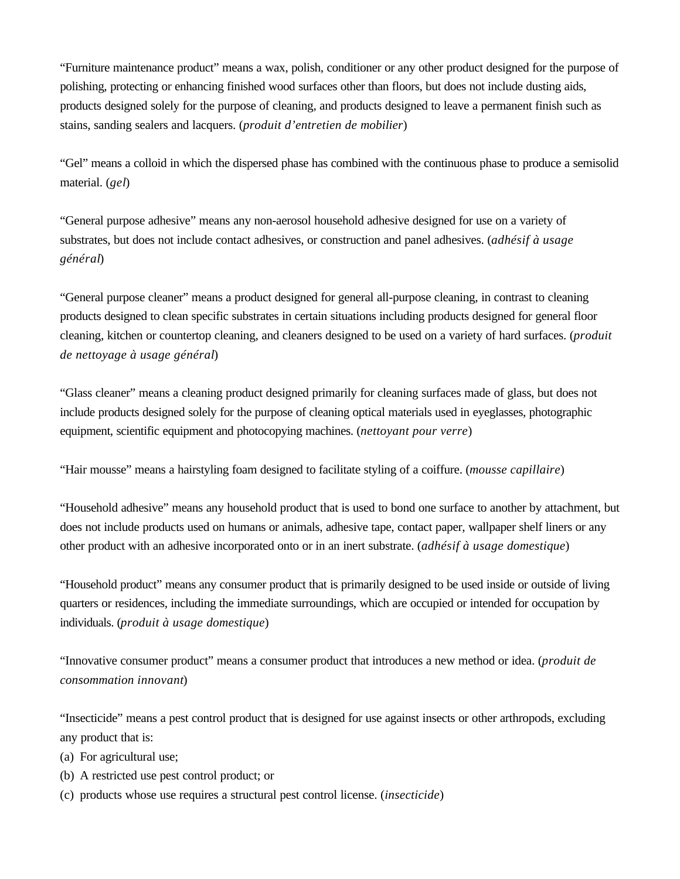"Furniture maintenance product" means a wax, polish, conditioner or any other product designed for the purpose of polishing, protecting or enhancing finished wood surfaces other than floors, but does not include dusting aids, products designed solely for the purpose of cleaning, and products designed to leave a permanent finish such as stains, sanding sealers and lacquers. (*produit d'entretien de mobilier*)

"Gel" means a colloid in which the dispersed phase has combined with the continuous phase to produce a semisolid material. (*gel*)

"General purpose adhesive" means any non-aerosol household adhesive designed for use on a variety of substrates, but does not include contact adhesives, or construction and panel adhesives. (*adhésif à usage général*)

"General purpose cleaner" means a product designed for general all-purpose cleaning, in contrast to cleaning products designed to clean specific substrates in certain situations including products designed for general floor cleaning, kitchen or countertop cleaning, and cleaners designed to be used on a variety of hard surfaces. (*produit de nettoyage à usage général*)

"Glass cleaner" means a cleaning product designed primarily for cleaning surfaces made of glass, but does not include products designed solely for the purpose of cleaning optical materials used in eyeglasses, photographic equipment, scientific equipment and photocopying machines. (*nettoyant pour verre*)

"Hair mousse" means a hairstyling foam designed to facilitate styling of a coiffure. (*mousse capillaire*)

"Household adhesive" means any household product that is used to bond one surface to another by attachment, but does not include products used on humans or animals, adhesive tape, contact paper, wallpaper shelf liners or any other product with an adhesive incorporated onto or in an inert substrate. (*adhésif à usage domestique*)

"Household product" means any consumer product that is primarily designed to be used inside or outside of living quarters or residences, including the immediate surroundings, which are occupied or intended for occupation by individuals. (*produit à usage domestique*)

"Innovative consumer product" means a consumer product that introduces a new method or idea. (*produit de consommation innovant*)

"Insecticide" means a pest control product that is designed for use against insects or other arthropods, excluding any product that is:

- (a) For agricultural use;
- (b) A restricted use pest control product; or
- (c) products whose use requires a structural pest control license. (*insecticide*)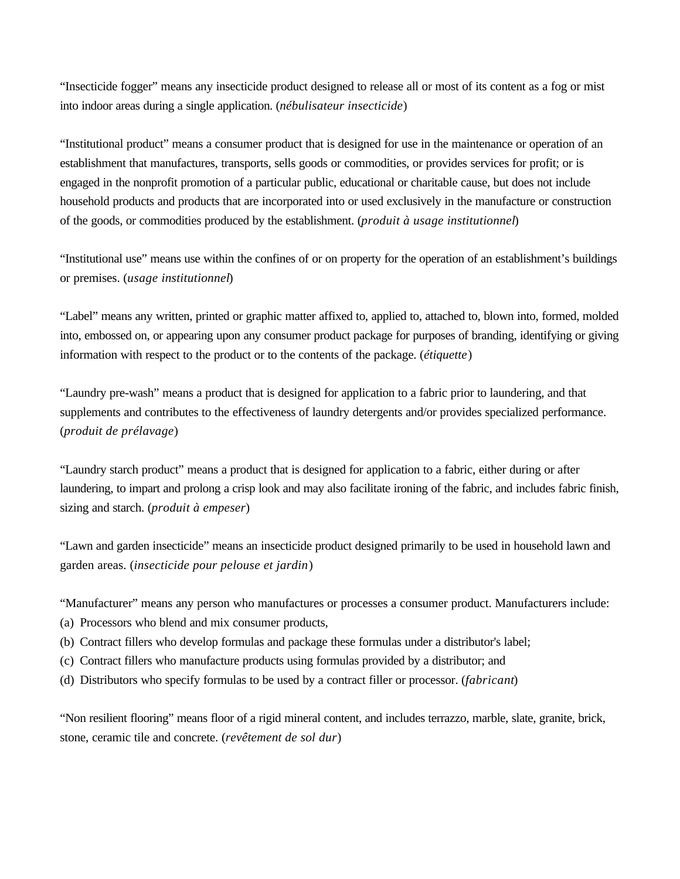"Insecticide fogger" means any insecticide product designed to release all or most of its content as a fog or mist into indoor areas during a single application. (*nébulisateur insecticide*)

"Institutional product" means a consumer product that is designed for use in the maintenance or operation of an establishment that manufactures, transports, sells goods or commodities, or provides services for profit; or is engaged in the nonprofit promotion of a particular public, educational or charitable cause, but does not include household products and products that are incorporated into or used exclusively in the manufacture or construction of the goods, or commodities produced by the establishment. (*produit à usage institutionnel*)

"Institutional use" means use within the confines of or on property for the operation of an establishment's buildings or premises. (*usage institutionnel*)

"Label" means any written, printed or graphic matter affixed to, applied to, attached to, blown into, formed, molded into, embossed on, or appearing upon any consumer product package for purposes of branding, identifying or giving information with respect to the product or to the contents of the package. (*étiquette*)

"Laundry pre-wash" means a product that is designed for application to a fabric prior to laundering, and that supplements and contributes to the effectiveness of laundry detergents and/or provides specialized performance. (*produit de prélavage*)

"Laundry starch product" means a product that is designed for application to a fabric, either during or after laundering, to impart and prolong a crisp look and may also facilitate ironing of the fabric, and includes fabric finish, sizing and starch. (*produit à empeser*)

"Lawn and garden insecticide" means an insecticide product designed primarily to be used in household lawn and garden areas. (*insecticide pour pelouse et jardin*)

"Manufacturer" means any person who manufactures or processes a consumer product. Manufacturers include:

- (a) Processors who blend and mix consumer products,
- (b) Contract fillers who develop formulas and package these formulas under a distributor's label;
- (c) Contract fillers who manufacture products using formulas provided by a distributor; and
- (d) Distributors who specify formulas to be used by a contract filler or processor. (*fabricant*)

"Non resilient flooring" means floor of a rigid mineral content, and includes terrazzo, marble, slate, granite, brick, stone, ceramic tile and concrete. (*revêtement de sol dur*)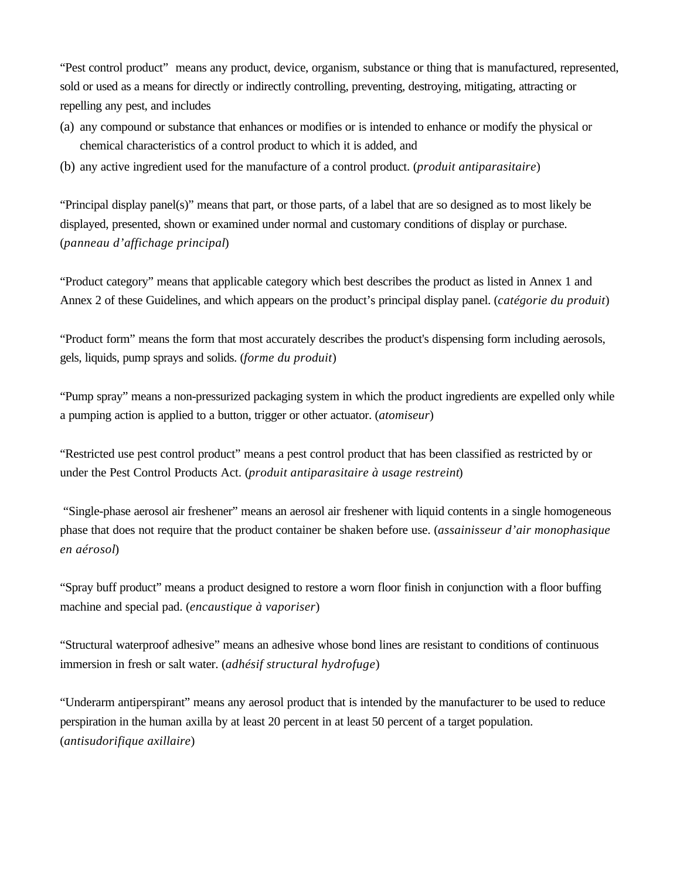"Pest control product" means any product, device, organism, substance or thing that is manufactured, represented, sold or used as a means for directly or indirectly controlling, preventing, destroying, mitigating, attracting or repelling any pest, and includes

- (a) any compound or substance that enhances or modifies or is intended to enhance or modify the physical or chemical characteristics of a control product to which it is added, and
- (b) any active ingredient used for the manufacture of a control product. (*produit antiparasitaire*)

"Principal display panel(s)" means that part, or those parts, of a label that are so designed as to most likely be displayed, presented, shown or examined under normal and customary conditions of display or purchase. (*panneau d'affichage principal*)

"Product category" means that applicable category which best describes the product as listed in Annex 1 and Annex 2 of these Guidelines, and which appears on the product's principal display panel. (*catégorie du produit*)

"Product form" means the form that most accurately describes the product's dispensing form including aerosols, gels, liquids, pump sprays and solids. (*forme du produit*)

"Pump spray" means a non-pressurized packaging system in which the product ingredients are expelled only while a pumping action is applied to a button, trigger or other actuator. (*atomiseur*)

"Restricted use pest control product" means a pest control product that has been classified as restricted by or under the Pest Control Products Act. (*produit antiparasitaire à usage restreint*)

 "Single-phase aerosol air freshener" means an aerosol air freshener with liquid contents in a single homogeneous phase that does not require that the product container be shaken before use. (*assainisseur d'air monophasique en aérosol*)

"Spray buff product" means a product designed to restore a worn floor finish in conjunction with a floor buffing machine and special pad. (*encaustique à vaporiser*)

"Structural waterproof adhesive" means an adhesive whose bond lines are resistant to conditions of continuous immersion in fresh or salt water. (*adhésif structural hydrofuge*)

"Underarm antiperspirant" means any aerosol product that is intended by the manufacturer to be used to reduce perspiration in the human axilla by at least 20 percent in at least 50 percent of a target population. (*antisudorifique axillaire*)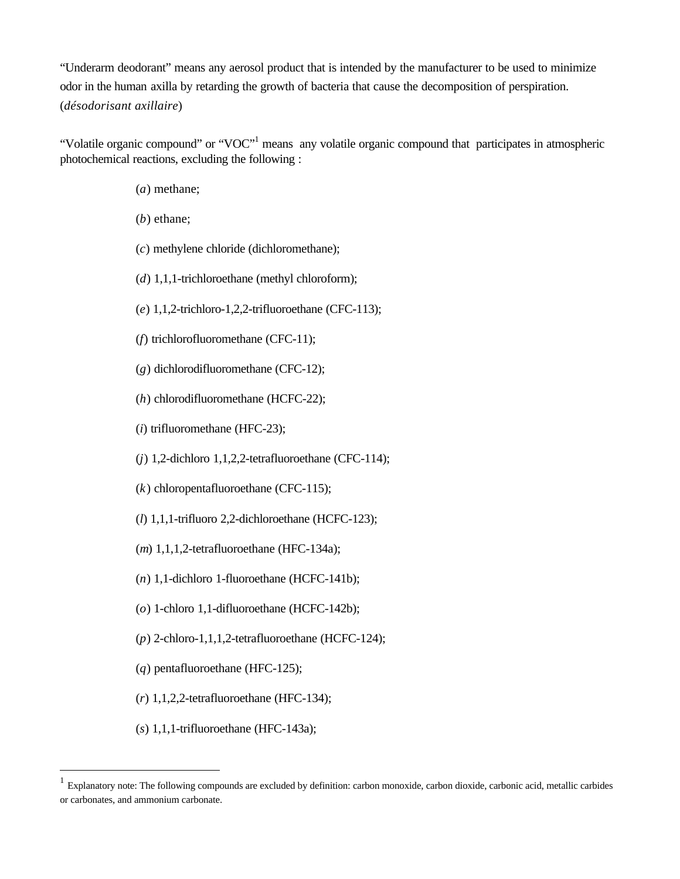"Underarm deodorant" means any aerosol product that is intended by the manufacturer to be used to minimize odor in the human axilla by retarding the growth of bacteria that cause the decomposition of perspiration. (*désodorisant axillaire*)

"Volatile organic compound" or "VOC"<sup>1</sup> means any volatile organic compound that participates in atmospheric photochemical reactions, excluding the following :

- (*a*) methane;
- (*b*) ethane;
- (*c*) methylene chloride (dichloromethane);
- (*d*) 1,1,1-trichloroethane (methyl chloroform);
- (*e*) 1,1,2-trichloro-1,2,2-trifluoroethane (CFC-113);
- (*f*) trichlorofluoromethane (CFC-11);
- (*g*) dichlorodifluoromethane (CFC-12);
- (*h*) chlorodifluoromethane (HCFC-22);
- (*i*) trifluoromethane (HFC-23);
- (*j*) 1,2-dichloro 1,1,2,2-tetrafluoroethane (CFC-114);
- (*k*) chloropentafluoroethane (CFC-115);
- (*l*) 1,1,1-trifluoro 2,2-dichloroethane (HCFC-123);
- (*m*) 1,1,1,2-tetrafluoroethane (HFC-134a);
- (*n*) 1,1-dichloro 1-fluoroethane (HCFC-141b);
- (*o*) 1-chloro 1,1-difluoroethane (HCFC-142b);
- (*p*) 2-chloro-1,1,1,2-tetrafluoroethane (HCFC-124);
- (*q*) pentafluoroethane (HFC-125);
- (*r*) 1,1,2,2-tetrafluoroethane (HFC-134);
- (*s*) 1,1,1-trifluoroethane (HFC-143a);

 $\overline{a}$ 

<sup>1</sup> Explanatory note: The following compounds are excluded by definition: carbon monoxide, carbon dioxide, carbonic acid, metallic carbides or carbonates, and ammonium carbonate.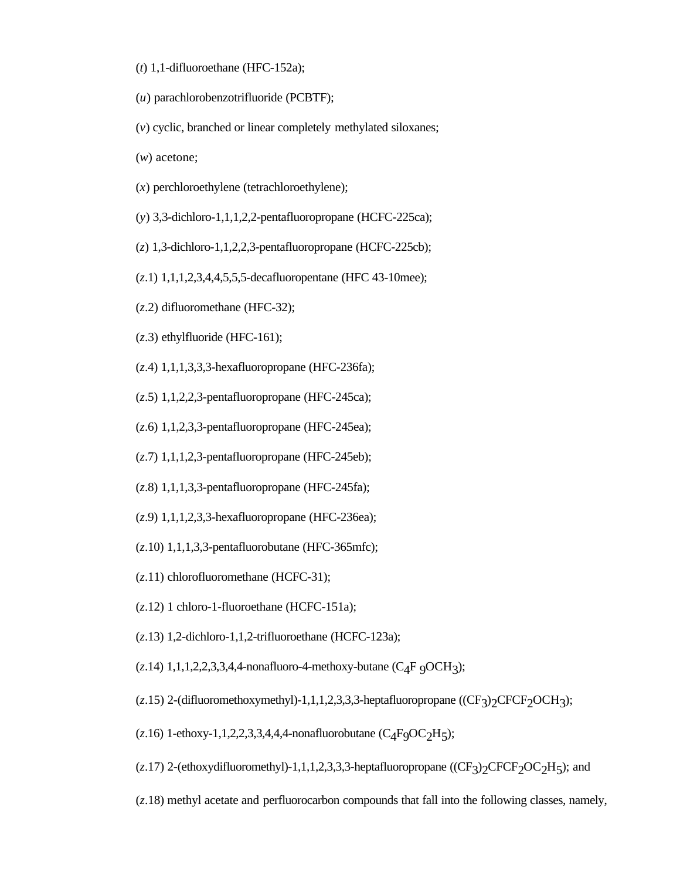- (*t*) 1,1-difluoroethane (HFC-152a);
- (*u*) parachlorobenzotrifluoride (PCBTF);
- (*v*) cyclic, branched or linear completely methylated siloxanes;
- (*w*) acetone;
- (*x*) perchloroethylene (tetrachloroethylene);
- (*y*) 3,3-dichloro-1,1,1,2,2-pentafluoropropane (HCFC-225ca);
- (*z*) 1,3-dichloro-1,1,2,2,3-pentafluoropropane (HCFC-225cb);
- (*z*.1) 1,1,1,2,3,4,4,5,5,5-decafluoropentane (HFC 43-10mee);
- (*z*.2) difluoromethane (HFC-32);
- (*z*.3) ethylfluoride (HFC-161);
- (*z*.4) 1,1,1,3,3,3-hexafluoropropane (HFC-236fa);
- (*z*.5) 1,1,2,2,3-pentafluoropropane (HFC-245ca);
- (*z*.6) 1,1,2,3,3-pentafluoropropane (HFC-245ea);
- (*z*.7) 1,1,1,2,3-pentafluoropropane (HFC-245eb);
- (*z*.8) 1,1,1,3,3-pentafluoropropane (HFC-245fa);
- (*z*.9) 1,1,1,2,3,3-hexafluoropropane (HFC-236ea);
- (*z*.10) 1,1,1,3,3-pentafluorobutane (HFC-365mfc);
- (*z*.11) chlorofluoromethane (HCFC-31);
- (*z*.12) 1 chloro-1-fluoroethane (HCFC-151a);
- (*z*.13) 1,2-dichloro-1,1,2-trifluoroethane (HCFC-123a);
- (*z*.14) 1,1,1,2,2,3,3,4,4-nonafluoro-4-methoxy-butane (C4F 9OCH3 );
- $(z.15)$  2-(difluoromethoxymethyl)-1,1,1,2,3,3,3-heptafluoropropane ((CF<sub>3</sub>)<sub>2</sub>CFCF<sub>2</sub>OCH<sub>3</sub>);
- (*z*.16) 1-ethoxy-1,1,2,2,3,3,4,4,4-nonafluorobutane (C4F9OC2H5 );
- $(z.17)$  2-(ethoxydifluoromethyl)-1,1,1,2,3,3,3-heptafluoropropane  $((CF_3)_2CFCF_2OC_2H_5)$ ; and
- (*z*.18) methyl acetate and perfluorocarbon compounds that fall into the following classes, namely,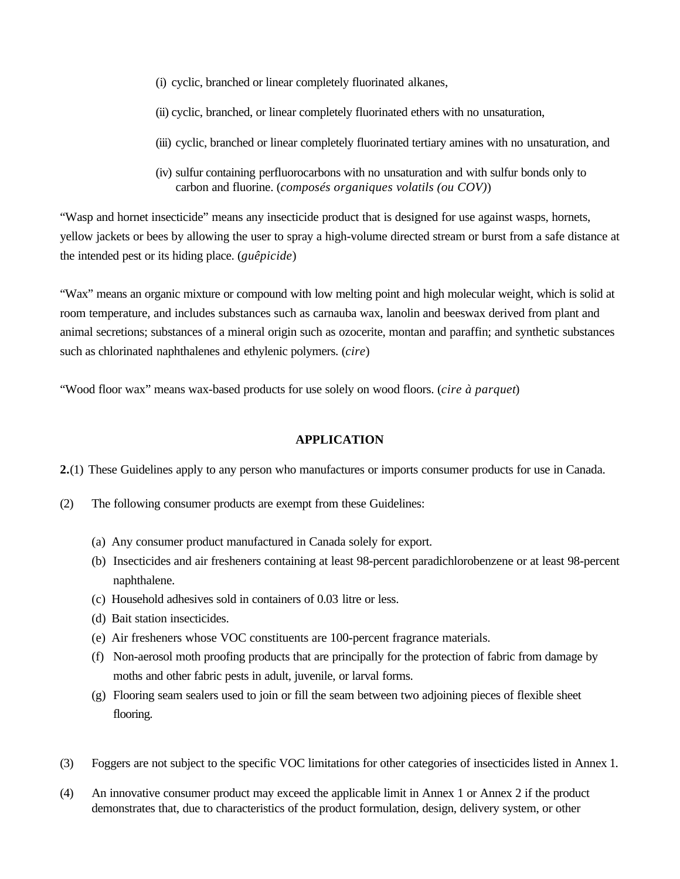- (i) cyclic, branched or linear completely fluorinated alkanes,
- (ii) cyclic, branched, or linear completely fluorinated ethers with no unsaturation,
- (iii) cyclic, branched or linear completely fluorinated tertiary amines with no unsaturation, and
- (iv) sulfur containing perfluorocarbons with no unsaturation and with sulfur bonds only to carbon and fluorine. (*composés organiques volatils (ou COV)*)

"Wasp and hornet insecticide" means any insecticide product that is designed for use against wasps, hornets, yellow jackets or bees by allowing the user to spray a high-volume directed stream or burst from a safe distance at the intended pest or its hiding place. (*guêpicide*)

"Wax" means an organic mixture or compound with low melting point and high molecular weight, which is solid at room temperature, and includes substances such as carnauba wax, lanolin and beeswax derived from plant and animal secretions; substances of a mineral origin such as ozocerite, montan and paraffin; and synthetic substances such as chlorinated naphthalenes and ethylenic polymers. (*cire*)

"Wood floor wax" means wax-based products for use solely on wood floors. (*cire à parquet*)

#### **APPLICATION**

**2.**(1) These Guidelines apply to any person who manufactures or imports consumer products for use in Canada.

- (2) The following consumer products are exempt from these Guidelines:
	- (a) Any consumer product manufactured in Canada solely for export.
	- (b) Insecticides and air fresheners containing at least 98-percent paradichlorobenzene or at least 98-percent naphthalene.
	- (c) Household adhesives sold in containers of 0.03 litre or less.
	- (d) Bait station insecticides.
	- (e) Air fresheners whose VOC constituents are 100-percent fragrance materials.
	- (f) Non-aerosol moth proofing products that are principally for the protection of fabric from damage by moths and other fabric pests in adult, juvenile, or larval forms.
	- (g) Flooring seam sealers used to join or fill the seam between two adjoining pieces of flexible sheet flooring.
- (3) Foggers are not subject to the specific VOC limitations for other categories of insecticides listed in Annex 1.
- (4) An innovative consumer product may exceed the applicable limit in Annex 1 or Annex 2 if the product demonstrates that, due to characteristics of the product formulation, design, delivery system, or other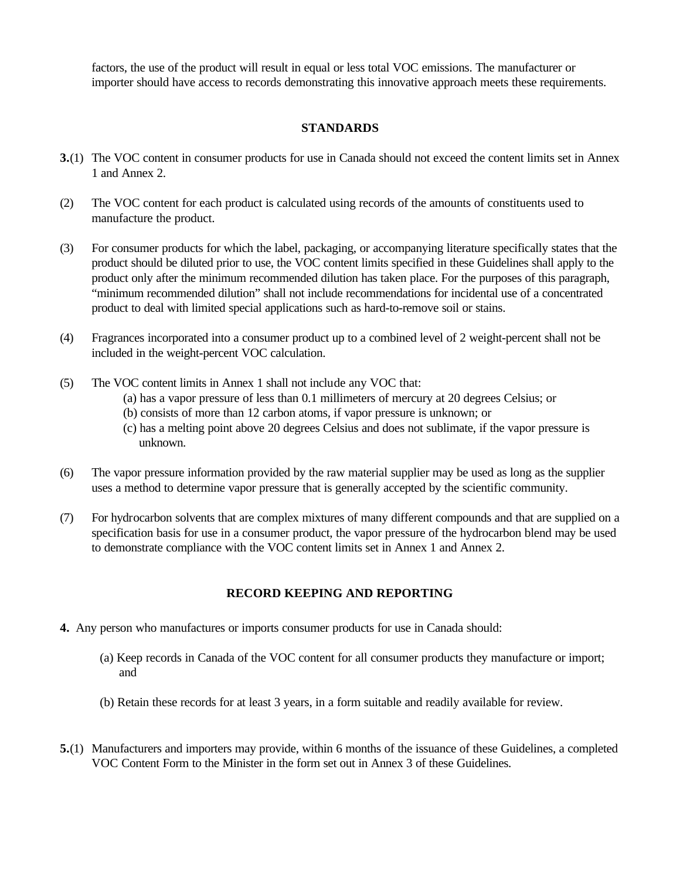factors, the use of the product will result in equal or less total VOC emissions. The manufacturer or importer should have access to records demonstrating this innovative approach meets these requirements.

### **STANDARDS**

- **3.**(1) The VOC content in consumer products for use in Canada should not exceed the content limits set in Annex 1 and Annex 2.
- (2) The VOC content for each product is calculated using records of the amounts of constituents used to manufacture the product.
- (3) For consumer products for which the label, packaging, or accompanying literature specifically states that the product should be diluted prior to use, the VOC content limits specified in these Guidelines shall apply to the product only after the minimum recommended dilution has taken place. For the purposes of this paragraph, "minimum recommended dilution" shall not include recommendations for incidental use of a concentrated product to deal with limited special applications such as hard-to-remove soil or stains.
- (4) Fragrances incorporated into a consumer product up to a combined level of 2 weight-percent shall not be included in the weight-percent VOC calculation.
- (5) The VOC content limits in Annex 1 shall not include any VOC that: (a) has a vapor pressure of less than 0.1 millimeters of mercury at 20 degrees Celsius; or (b) consists of more than 12 carbon atoms, if vapor pressure is unknown; or (c) has a melting point above 20 degrees Celsius and does not sublimate, if the vapor pressure is unknown.
- (6) The vapor pressure information provided by the raw material supplier may be used as long as the supplier uses a method to determine vapor pressure that is generally accepted by the scientific community.
- (7) For hydrocarbon solvents that are complex mixtures of many different compounds and that are supplied on a specification basis for use in a consumer product, the vapor pressure of the hydrocarbon blend may be used to demonstrate compliance with the VOC content limits set in Annex 1 and Annex 2.

### **RECORD KEEPING AND REPORTING**

- **4.** Any person who manufactures or imports consumer products for use in Canada should:
	- (a) Keep records in Canada of the VOC content for all consumer products they manufacture or import; and
	- (b) Retain these records for at least 3 years, in a form suitable and readily available for review.
- **5.**(1) Manufacturers and importers may provide, within 6 months of the issuance of these Guidelines, a completed VOC Content Form to the Minister in the form set out in Annex 3 of these Guidelines.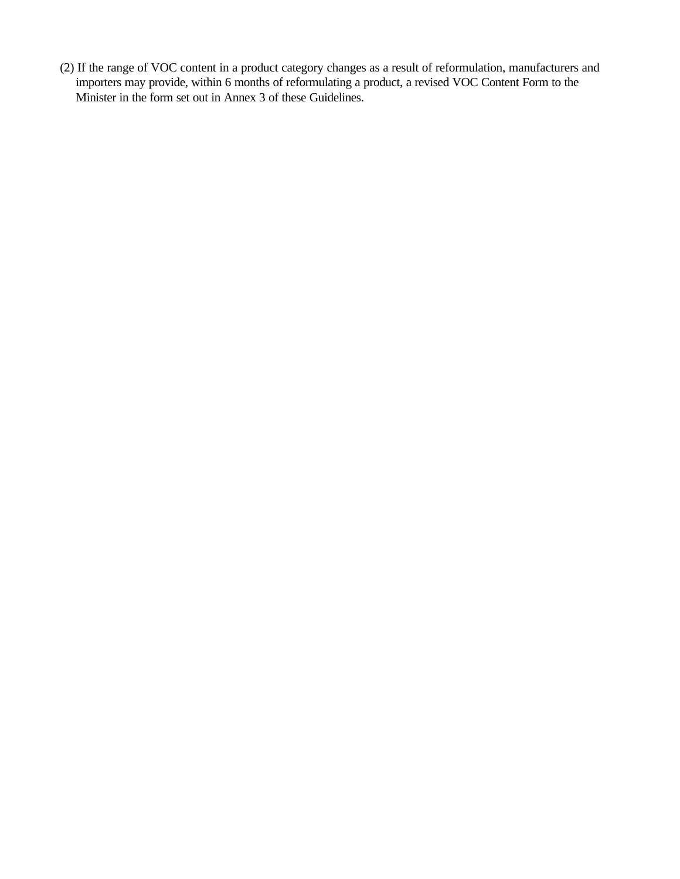(2) If the range of VOC content in a product category changes as a result of reformulation, manufacturers and importers may provide, within 6 months of reformulating a product, a revised VOC Content Form to the Minister in the form set out in Annex 3 of these Guidelines.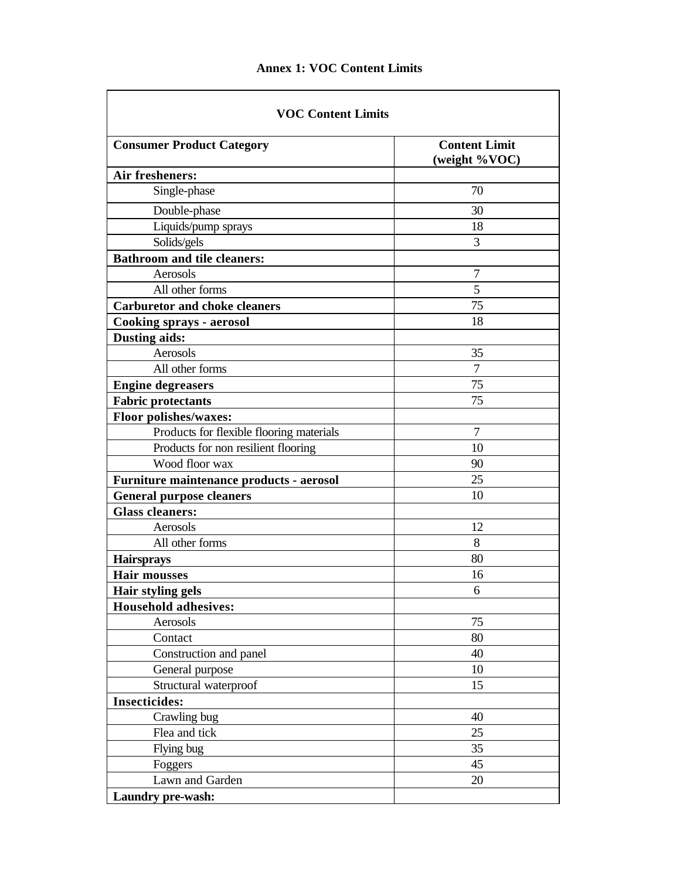# **Annex 1: VOC Content Limits**

 $\overline{\phantom{0}}$ 

| <b>VOC Content Limits</b>                |                                       |  |  |  |  |
|------------------------------------------|---------------------------------------|--|--|--|--|
| <b>Consumer Product Category</b>         | <b>Content Limit</b><br>(weight %VOC) |  |  |  |  |
| Air fresheners:                          |                                       |  |  |  |  |
| Single-phase                             | 70                                    |  |  |  |  |
| Double-phase                             | 30                                    |  |  |  |  |
| Liquids/pump sprays                      | 18                                    |  |  |  |  |
| Solids/gels                              | 3                                     |  |  |  |  |
| <b>Bathroom and tile cleaners:</b>       |                                       |  |  |  |  |
| Aerosols                                 | 7                                     |  |  |  |  |
| All other forms                          | 5                                     |  |  |  |  |
| <b>Carburetor and choke cleaners</b>     | 75                                    |  |  |  |  |
| <b>Cooking sprays - aerosol</b>          | 18                                    |  |  |  |  |
| <b>Dusting aids:</b>                     |                                       |  |  |  |  |
| Aerosols                                 | 35                                    |  |  |  |  |
| All other forms                          | 7                                     |  |  |  |  |
| <b>Engine degreasers</b>                 | 75                                    |  |  |  |  |
| <b>Fabric protectants</b>                | 75                                    |  |  |  |  |
| <b>Floor polishes/waxes:</b>             |                                       |  |  |  |  |
| Products for flexible flooring materials | 7                                     |  |  |  |  |
| Products for non resilient flooring      | 10                                    |  |  |  |  |
| Wood floor wax                           | 90                                    |  |  |  |  |
| Furniture maintenance products - aerosol | 25                                    |  |  |  |  |
| <b>General purpose cleaners</b>          | 10                                    |  |  |  |  |
| <b>Glass cleaners:</b>                   |                                       |  |  |  |  |
| Aerosols                                 | 12                                    |  |  |  |  |
| All other forms                          | 8                                     |  |  |  |  |
| <b>Hairsprays</b>                        | 80                                    |  |  |  |  |
| <b>Hair mousses</b>                      | 16                                    |  |  |  |  |
| <b>Hair styling gels</b>                 | 6                                     |  |  |  |  |
| <b>Household adhesives:</b>              |                                       |  |  |  |  |
| Aerosols                                 | 75                                    |  |  |  |  |
| Contact                                  | 80                                    |  |  |  |  |
| Construction and panel                   | 40                                    |  |  |  |  |
| General purpose                          | 10                                    |  |  |  |  |
| Structural waterproof                    | 15                                    |  |  |  |  |
| <b>Insecticides:</b>                     |                                       |  |  |  |  |
| Crawling bug                             | 40                                    |  |  |  |  |
| Flea and tick                            | 25                                    |  |  |  |  |
| Flying bug                               | 35                                    |  |  |  |  |
| Foggers                                  | 45                                    |  |  |  |  |
| Lawn and Garden                          | 20                                    |  |  |  |  |
| Laundry pre-wash:                        |                                       |  |  |  |  |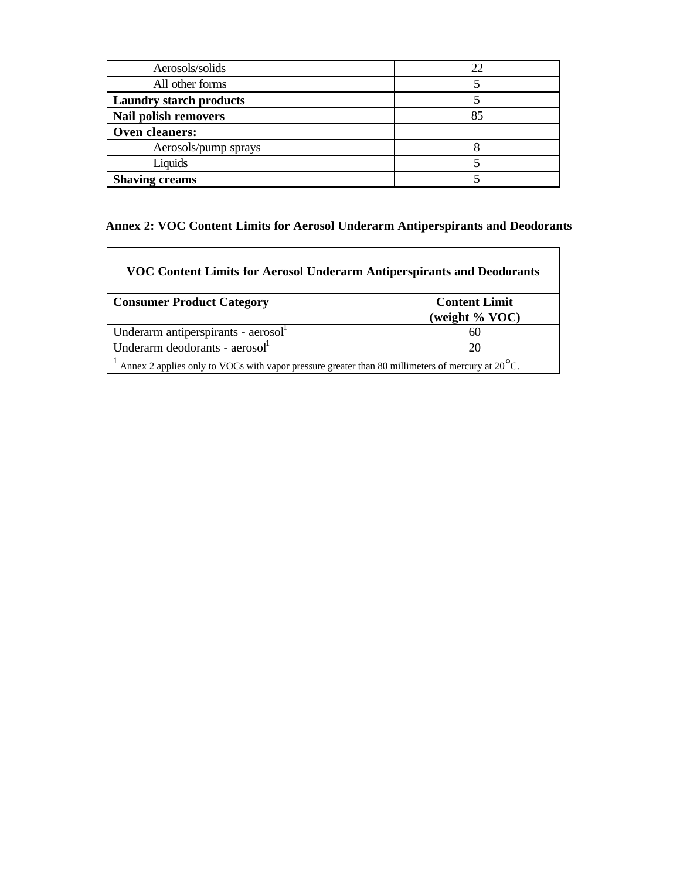| Aerosols/solids                |    |
|--------------------------------|----|
| All other forms                |    |
| <b>Laundry starch products</b> |    |
| <b>Nail polish removers</b>    | 85 |
| Oven cleaners:                 |    |
| Aerosols/pump sprays           |    |
| Liquids                        |    |
| <b>Shaving creams</b>          |    |

# **Annex 2: VOC Content Limits for Aerosol Underarm Antiperspirants and Deodorants**

| VOC Content Limits for Aerosol Underarm Antiperspirants and Deodorants                                     |                                        |  |  |  |
|------------------------------------------------------------------------------------------------------------|----------------------------------------|--|--|--|
| <b>Consumer Product Category</b>                                                                           | <b>Content Limit</b><br>(weight % VOC) |  |  |  |
| Underarm antiperspirants - aerosol <sup>1</sup>                                                            | 60                                     |  |  |  |
| Underarm deodorants - aerosol <sup>1</sup>                                                                 | 20                                     |  |  |  |
| Annex 2 applies only to VOCs with vapor pressure greater than 80 millimeters of mercury at $20^{\circ}$ C. |                                        |  |  |  |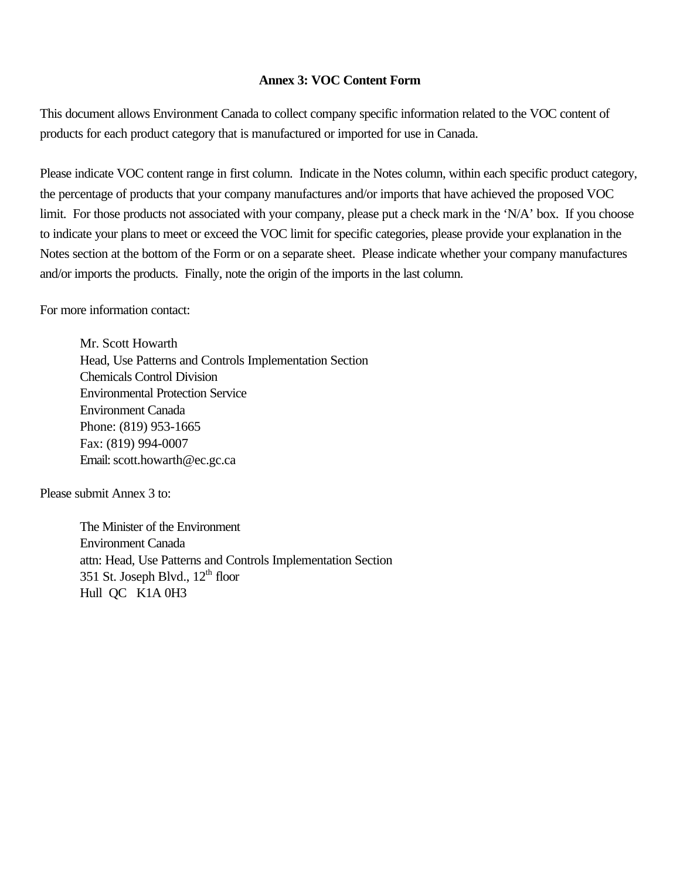## **Annex 3: VOC Content Form**

This document allows Environment Canada to collect company specific information related to the VOC content of products for each product category that is manufactured or imported for use in Canada.

Please indicate VOC content range in first column. Indicate in the Notes column, within each specific product category, the percentage of products that your company manufactures and/or imports that have achieved the proposed VOC limit. For those products not associated with your company, please put a check mark in the 'N/A' box. If you choose to indicate your plans to meet or exceed the VOC limit for specific categories, please provide your explanation in the Notes section at the bottom of the Form or on a separate sheet. Please indicate whether your company manufactures and/or imports the products. Finally, note the origin of the imports in the last column.

For more information contact:

Mr. Scott Howarth Head, Use Patterns and Controls Implementation Section Chemicals Control Division Environmental Protection Service Environment Canada Phone: (819) 953-1665 Fax: (819) 994-0007 Email: scott.howarth@ec.gc.ca

Please submit Annex 3 to:

The Minister of the Environment Environment Canada attn: Head, Use Patterns and Controls Implementation Section 351 St. Joseph Blvd.,  $12<sup>th</sup>$  floor Hull QC K1A 0H3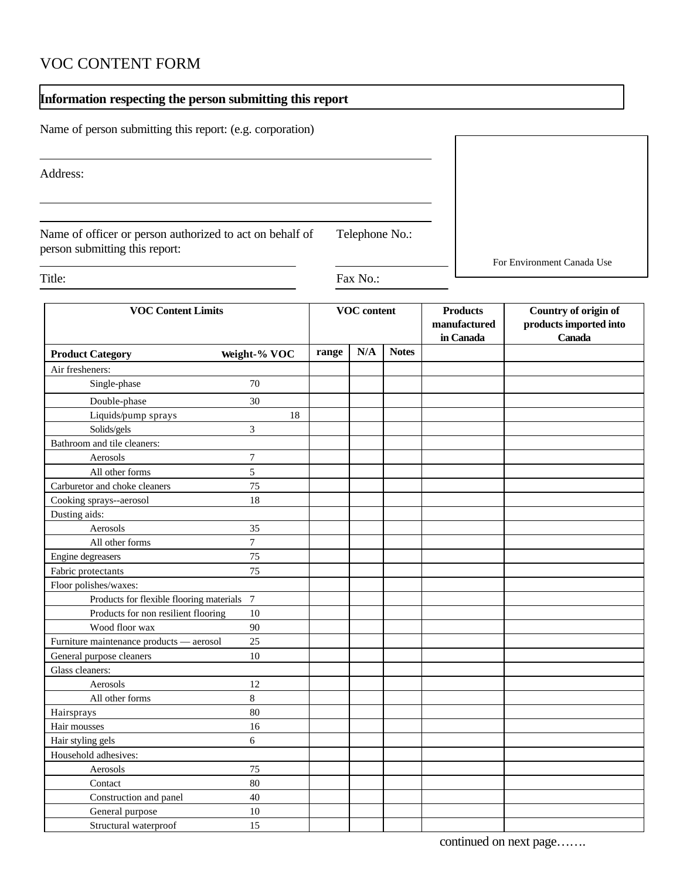# VOC CONTENT FORM

# **Information respecting the person submitting this report**

Name of person submitting this report: (e.g. corporation)

Address:

Name of officer or person authorized to act on behalf of Telephone No.: person submitting this report:

For Environment Canada Use

Title: Fax No.:

| <b>VOC Content Limits</b>                |                | <b>VOC</b> content |     |              | <b>Products</b><br>manufactured<br>in Canada | Country of origin of<br>products imported into<br><b>Canada</b> |
|------------------------------------------|----------------|--------------------|-----|--------------|----------------------------------------------|-----------------------------------------------------------------|
| <b>Product Category</b>                  | Weight-% VOC   | range              | N/A | <b>Notes</b> |                                              |                                                                 |
| Air fresheners:                          |                |                    |     |              |                                              |                                                                 |
| Single-phase                             | 70             |                    |     |              |                                              |                                                                 |
| Double-phase                             | 30             |                    |     |              |                                              |                                                                 |
| Liquids/pump sprays                      | 18             |                    |     |              |                                              |                                                                 |
| Solids/gels                              | 3              |                    |     |              |                                              |                                                                 |
| Bathroom and tile cleaners:              |                |                    |     |              |                                              |                                                                 |
| Aerosols                                 | $\tau$         |                    |     |              |                                              |                                                                 |
| All other forms                          | 5              |                    |     |              |                                              |                                                                 |
| Carburetor and choke cleaners            | 75             |                    |     |              |                                              |                                                                 |
| Cooking sprays--aerosol                  | 18             |                    |     |              |                                              |                                                                 |
| Dusting aids:                            |                |                    |     |              |                                              |                                                                 |
| Aerosols                                 | 35             |                    |     |              |                                              |                                                                 |
| All other forms                          | $\overline{7}$ |                    |     |              |                                              |                                                                 |
| Engine degreasers                        | 75             |                    |     |              |                                              |                                                                 |
| Fabric protectants                       | 75             |                    |     |              |                                              |                                                                 |
| Floor polishes/waxes:                    |                |                    |     |              |                                              |                                                                 |
| Products for flexible flooring materials | $\overline{7}$ |                    |     |              |                                              |                                                                 |
| Products for non resilient flooring      | 10             |                    |     |              |                                              |                                                                 |
| Wood floor wax                           | 90             |                    |     |              |                                              |                                                                 |
| Furniture maintenance products - aerosol | 25             |                    |     |              |                                              |                                                                 |
| General purpose cleaners                 | 10             |                    |     |              |                                              |                                                                 |
| Glass cleaners:                          |                |                    |     |              |                                              |                                                                 |
| Aerosols                                 | 12             |                    |     |              |                                              |                                                                 |
| All other forms                          | $8\,$          |                    |     |              |                                              |                                                                 |
| Hairsprays                               | 80             |                    |     |              |                                              |                                                                 |
| Hair mousses                             | 16             |                    |     |              |                                              |                                                                 |
| Hair styling gels                        | 6              |                    |     |              |                                              |                                                                 |
| Household adhesives:                     |                |                    |     |              |                                              |                                                                 |
| Aerosols                                 | 75             |                    |     |              |                                              |                                                                 |
| Contact                                  | 80             |                    |     |              |                                              |                                                                 |
| Construction and panel                   | 40             |                    |     |              |                                              |                                                                 |
| General purpose                          | 10             |                    |     |              |                                              |                                                                 |
| Structural waterproof                    | 15             |                    |     |              |                                              |                                                                 |